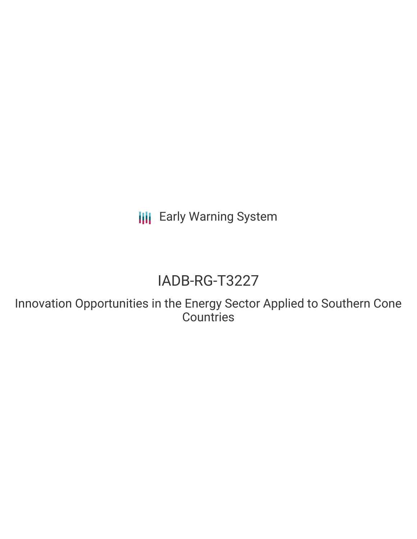**III** Early Warning System

# IADB-RG-T3227

Innovation Opportunities in the Energy Sector Applied to Southern Cone **Countries**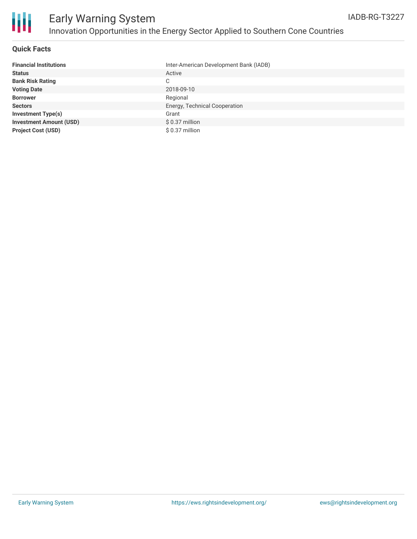

### **Quick Facts**

| <b>Financial Institutions</b>  | Inter-American Development Bank (IADB) |
|--------------------------------|----------------------------------------|
| <b>Status</b>                  | Active                                 |
| <b>Bank Risk Rating</b>        | C                                      |
| <b>Voting Date</b>             | 2018-09-10                             |
| <b>Borrower</b>                | Regional                               |
| <b>Sectors</b>                 | Energy, Technical Cooperation          |
| <b>Investment Type(s)</b>      | Grant                                  |
| <b>Investment Amount (USD)</b> | \$ 0.37 million                        |
| <b>Project Cost (USD)</b>      | \$ 0.37 million                        |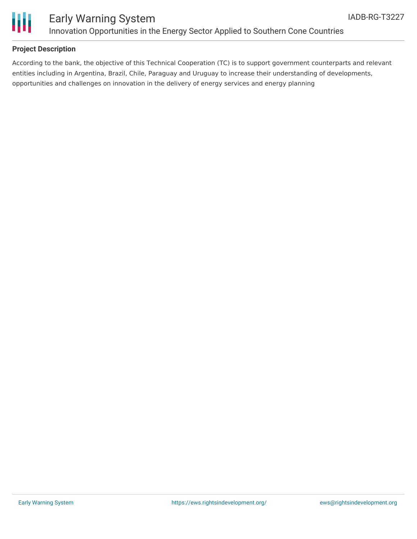

### Early Warning System Innovation Opportunities in the Energy Sector Applied to Southern Cone Countries

### **Project Description**

According to the bank, the objective of this Technical Cooperation (TC) is to support government counterparts and relevant entities including in Argentina, Brazil, Chile, Paraguay and Uruguay to increase their understanding of developments, opportunities and challenges on innovation in the delivery of energy services and energy planning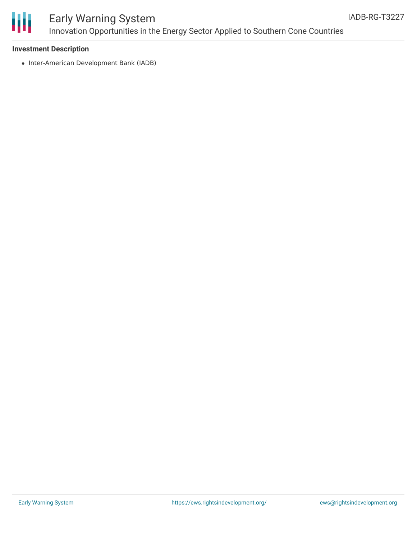

## Early Warning System Innovation Opportunities in the Energy Sector Applied to Southern Cone Countries

### **Investment Description**

• Inter-American Development Bank (IADB)